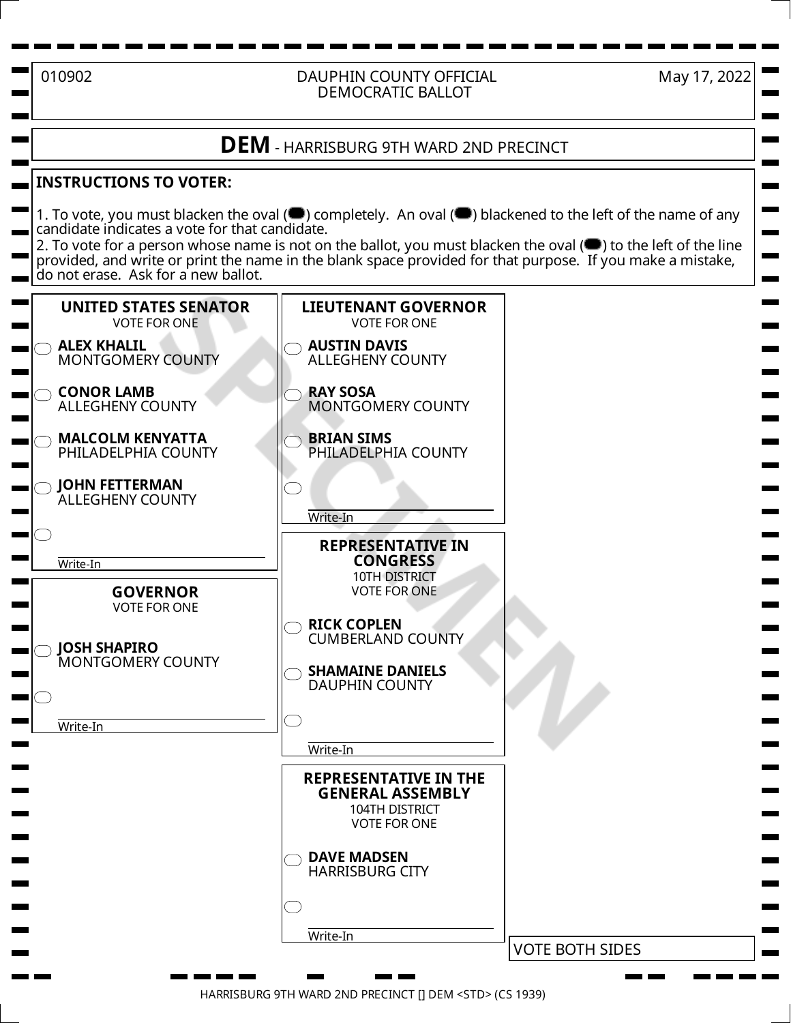## 010902 DAUPHIN COUNTY OFFICIAL DEMOCRATIC BALLOT

May 17, 2022

## **DEM** - HARRISBURG 9TH WARD 2ND PRECINCT

## **INSTRUCTIONS TO VOTER:**

1. To vote, you must blacken the oval ( $\blacksquare$ ) completely. An oval ( $\blacksquare$ ) blackened to the left of the name of any candidate indicates a vote for that candidate.

2. To vote for a person whose name is not on the ballot, you must blacken the oval  $($ **)** to the left of the line provided, and write or print the name in the blank space provided for that purpose. If you make a mistake, do not erase. Ask for a new ballot.